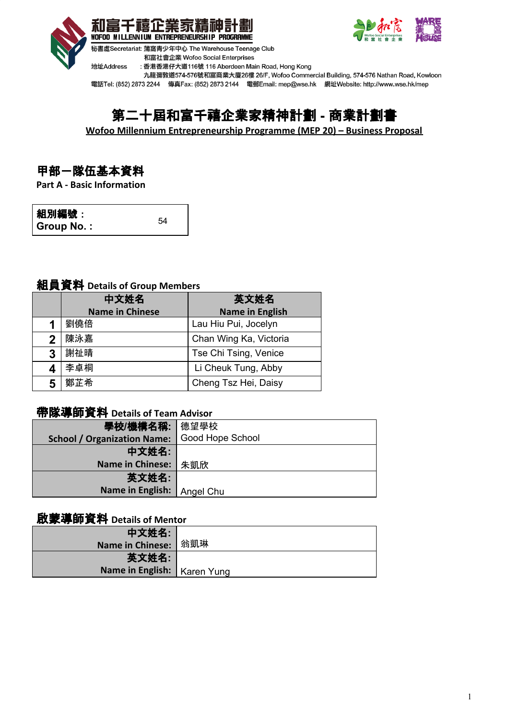



和富社會企業 Wofoo Social Enterprises

地址Address : 香港香港仔大道116號 116 Aberdeen Main Road, Hong Kong

九龍彌敦道574-576號和富商業大廈26樓 26/F, Wofoo Commercial Building, 574-576 Nathan Road, Kowloon

電話Tel: (852) 2873 2244 傳真Fax: (852) 2873 2144 電郵Email: mep@wse.hk 網址Website: http://www.wse.hk/mep

# 第二十屆和富千禧企業家精神計劃 **-** 商業計劃書

**Wofoo Millennium Entrepreneurship Programme (MEP 20) – Business Proposal**

## 甲部-隊伍基本資料

**Part A - Basic Information**

| 組別編號:      |    |
|------------|----|
| Group No.: | 54 |

## 組員資料 **Details of Group Members**

|   | 中文姓名                   | 英文姓名                   |
|---|------------------------|------------------------|
|   | <b>Name in Chinese</b> | <b>Name in English</b> |
| 1 | 劉僥倍                    | Lau Hiu Pui, Jocelyn   |
| 2 | 陳泳嘉                    | Chan Wing Ka, Victoria |
| 3 | 謝祉晴                    | Tse Chi Tsing, Venice  |
|   | 李卓桐                    | Li Cheuk Tung, Abby    |
| 5 | 鄭芷希                    | Cheng Tsz Hei, Daisy   |

# 帶隊導師資料 **Details of Team Advisor**

| 學校/機構名稱:                           | 德望學校                    |
|------------------------------------|-------------------------|
| <b>School / Organization Name:</b> | <b>Good Hope School</b> |
| 中文姓名:                              |                         |
| <b>Name in Chinese:</b>            | 朱凱欣                     |
| 英文姓名:                              |                         |
| Name in English:                   | Angel Chu               |

## 啟蒙導師資料 **Details of Mentor**

| 中文姓名:                         |  |
|-------------------------------|--|
| <b>Name in Chinese:</b> 翁凱琳   |  |
| 英文姓名:                         |  |
| Name in English:   Karen Yung |  |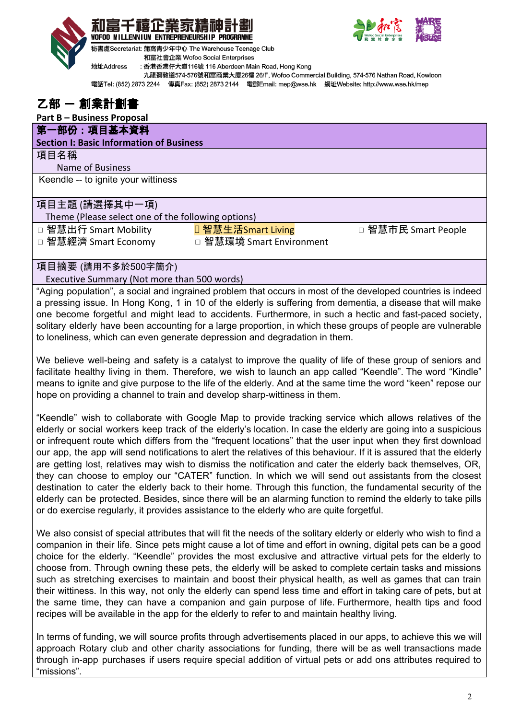





秘書處Secretariat: 蒲窩青少年中心 The Warehouse Teenage Club 和富社會企業 Wofoo Social Enterprises

地址Address : 香港香港仔大道116號 116 Aberdeen Main Road, Hong Kong

九龍彌敦道574-576號和富商業大廈26樓 26/F, Wofoo Commercial Building, 574-576 Nathan Road, Kowloon

電話Tel: (852) 2873 2244 傳真Fax: (852) 2873 2144 電郵Email: mep@wse.hk 網址Website: http://www.wse.hk/mep

## 乙部 一 創業計劃書

## **Part B – Business Proposal**

#### 第一部份 : 項目基本資料 **Section I: Basic Information of Business**

#### 項目名稱

Name of Business

Keendle -- to ignite your wittiness

## 項目主題 (請選擇其中一項)

Theme (Please select one of the following options)

□ 智慧出行 Smart Mobility <mark>□ 智慧生活Smart Living</mark> □ 智慧市民 Smart People

□ 智慧經濟 Smart Economy □ 智慧環境 Smart Environment

項目摘要 (請用不多於500字簡介)

Executive Summary (Not more than 500 words)

"Aging population", a social and ingrained problem that occurs in most of the developed countries is indeed a pressing issue. In Hong Kong, 1 in 10 of the elderly is suffering from dementia, a disease that will make one become forgetful and might lead to accidents. Furthermore, in such a hectic and fast-paced society, solitary elderly have been accounting for a large proportion, in which these groups of people are vulnerable to loneliness, which can even generate depression and degradation in them.

We believe well-being and safety is a catalyst to improve the quality of life of these group of seniors and facilitate healthy living in them. Therefore, we wish to launch an app called "Keendle". The word "Kindle" means to ignite and give purpose to the life of the elderly. And at the same time the word "keen" repose our hope on providing a channel to train and develop sharp-wittiness in them.

"Keendle" wish to collaborate with Google Map to provide tracking service which allows relatives of the elderly or social workers keep track of the elderly's location. In case the elderly are going into a suspicious or infrequent route which differs from the "frequent locations" that the user input when they first download our app, the app will send notifications to alert the relatives of this behaviour. If it is assured that the elderly are getting lost, relatives may wish to dismiss the notification and cater the elderly back themselves, OR, they can choose to employ our "CATER" function. In which we will send out assistants from the closest destination to cater the elderly back to their home. Through this function, the fundamental security of the elderly can be protected. Besides, since there will be an alarming function to remind the elderly to take pills or do exercise regularly, it provides assistance to the elderly who are quite forgetful.

We also consist of special attributes that will fit the needs of the solitary elderly or elderly who wish to find a companion in their life. Since pets might cause a lot of time and effort in owning, digital pets can be a good choice for the elderly. "Keendle" provides the most exclusive and attractive virtual pets for the elderly to choose from. Through owning these pets, the elderly will be asked to complete certain tasks and missions such as stretching exercises to maintain and boost their physical health, as well as games that can train their wittiness. In this way, not only the elderly can spend less time and effort in taking care of pets, but at the same time, they can have a companion and gain purpose of life. Furthermore, health tips and food recipes will be available in the app for the elderly to refer to and maintain healthy living.

In terms of funding, we will source profits through advertisements placed in our apps, to achieve this we will approach Rotary club and other charity associations for funding, there will be as well transactions made through in-app purchases if users require special addition of virtual pets or add ons attributes required to "missions".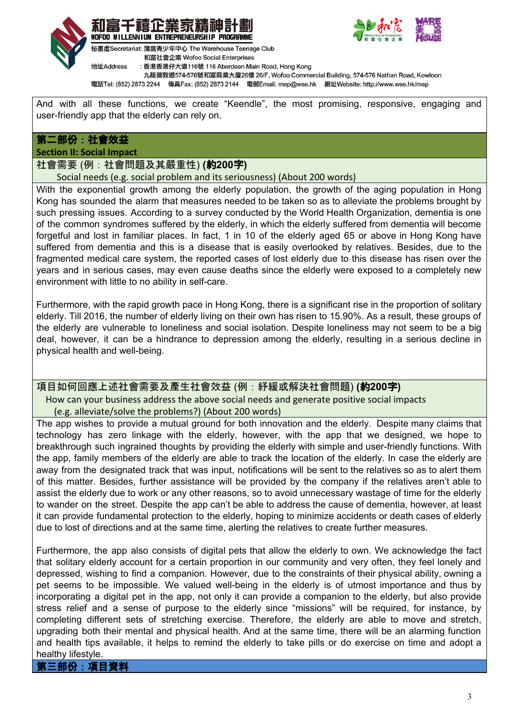





秘書處Secretariat: 蒲窩青少年中心 The Warehouse Teenage Club 和富社會企業 Wofoo Social Enterprises

地址Address : 香港香港仔大道116號 116 Aberdeen Main Road, Hong Kong

九龍彌敦道574-576號和富商業大廈26樓 26/F, Wofoo Commercial Building, 574-576 Nathan Road, Kowloon

電話Tel: (852) 2873 2244 傳真Fax: (852) 2873 2144 電郵Email: mep@wse.hk 網址Website: http://www.wse.hk/mep

And with all these functions, we create "Keendle", the most promising, responsive, engaging and user-friendly app that the elderly can rely on.

## 第二部份:社會效益

**Section II: Social Impact**

社會需要 (例:社會問題及其嚴重性) **(**約**200**字**)**

#### Social needs (e.g. social problem and its seriousness) (About 200 words)

With the exponential growth among the elderly population, the growth of the aging population in Hong Kong has sounded the alarm that measures needed to be taken so as to alleviate the problems brought by such pressing issues. According to a survey conducted by the World Health Organization, dementia is one of the common syndromes suffered by the elderly, in which the elderly suffered from dementia will become forgetful and lost in familiar places. In fact, 1 in 10 of the elderly aged 65 or above in Hong Kong have suffered from dementia and this is a disease that is easily overlooked by relatives. Besides, due to the fragmented medical care system, the reported cases of lost elderly due to this disease has risen over the years and in serious cases, may even cause deaths since the elderly were exposed to a completely new environment with little to no ability in self-care.

Furthermore, with the rapid growth pace in Hong Kong, there is a significant rise in the proportion of solitary elderly. Till 2016, the number of elderly living on their own has risen to 15.90%. As a result, these groups of the elderly are vulnerable to loneliness and social isolation. Despite loneliness may not seem to be a big deal, however, it can be a hindrance to depression among the elderly, resulting in a serious decline in physical health and well-being.

## 項目如何回應上述社會需要及產生社會效益 (例:紓緩或解決社會問題) **(**約**200**字**)**

 How can your business address the above social needs and generate positive social impacts (e.g. alleviate/solve the problems?) (About 200 words)

The app wishes to provide a mutual ground for both innovation and the elderly. Despite many claims that technology has zero linkage with the elderly, however, with the app that we designed, we hope to breakthrough such ingrained thoughts by providing the elderly with simple and user-friendly functions. With the app, family members of the elderly are able to track the location of the elderly. In case the elderly are away from the designated track that was input, notifications will be sent to the relatives so as to alert them of this matter. Besides, further assistance will be provided by the company if the relatives aren't able to assist the elderly due to work or any other reasons, so to avoid unnecessary wastage of time for the elderly to wander on the street. Despite the app can't be able to address the cause of dementia, however, at least it can provide fundamental protection to the elderly, hoping to minimize accidents or death cases of elderly due to lost of directions and at the same time, alerting the relatives to create further measures.

Furthermore, the app also consists of digital pets that allow the elderly to own. We acknowledge the fact that solitary elderly account for a certain proportion in our community and very often, they feel lonely and depressed, wishing to find a companion. However, due to the constraints of their physical ability, owning a pet seems to be impossible. We valued well-being in the elderly is of utmost importance and thus by incorporating a digital pet in the app, not only it can provide a companion to the elderly, but also provide stress relief and a sense of purpose to the elderly since "missions" will be required, for instance, by completing different sets of stretching exercise. Therefore, the elderly are able to move and stretch, upgrading both their mental and physical health. And at the same time, there will be an alarming function and health tips available, it helps to remind the elderly to take pills or do exercise on time and adopt a healthy lifestyle.

第三部份:項目資料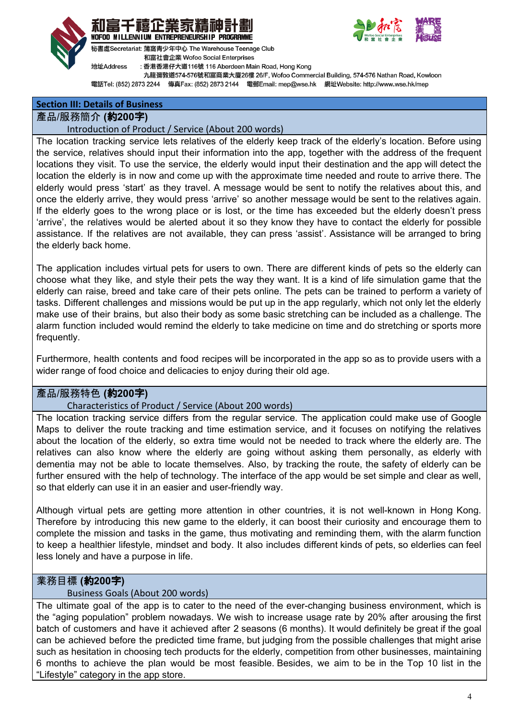





祕書處Secretariat: 蒲窩青少年中心 The Warehouse Teenage Club 和富社會企業 Wofoo Social Enterprises

地址Address : 香港香港仔大道116號 116 Aberdeen Main Road, Hong Kong

九龍彌敦道574-576號和富商業大廈26樓 26/F, Wofoo Commercial Building, 574-576 Nathan Road, Kowloon

電話Tel: (852) 2873 2244 傳真Fax: (852) 2873 2144 電郵Email: mep@wse.hk 網址Website: http://www.wse.hk/mep

## **Section III: Details of Business**

## 產品/服務簡介 **(**約**200**字**)**

#### Introduction of Product / Service (About 200 words)

The location tracking service lets relatives of the elderly keep track of the elderly's location. Before using the service, relatives should input their information into the app, together with the address of the frequent locations they visit. To use the service, the elderly would input their destination and the app will detect the location the elderly is in now and come up with the approximate time needed and route to arrive there. The elderly would press 'start' as they travel. A message would be sent to notify the relatives about this, and once the elderly arrive, they would press 'arrive' so another message would be sent to the relatives again. If the elderly goes to the wrong place or is lost, or the time has exceeded but the elderly doesn't press 'arrive', the relatives would be alerted about it so they know they have to contact the elderly for possible assistance. If the relatives are not available, they can press 'assist'. Assistance will be arranged to bring the elderly back home.

The application includes virtual pets for users to own. There are different kinds of pets so the elderly can choose what they like, and style their pets the way they want. It is a kind of life simulation game that the elderly can raise, breed and take care of their pets online. The pets can be trained to perform a variety of tasks. Different challenges and missions would be put up in the app regularly, which not only let the elderly make use of their brains, but also their body as some basic stretching can be included as a challenge. The alarm function included would remind the elderly to take medicine on time and do stretching or sports more frequently.

Furthermore, health contents and food recipes will be incorporated in the app so as to provide users with a wider range of food choice and delicacies to enjoy during their old age.

## 產品/服務特色 **(**約**200**字**)**

## Characteristics of Product / Service (About 200 words)

The location tracking service differs from the regular service. The application could make use of Google Maps to deliver the route tracking and time estimation service, and it focuses on notifying the relatives about the location of the elderly, so extra time would not be needed to track where the elderly are. The relatives can also know where the elderly are going without asking them personally, as elderly with dementia may not be able to locate themselves. Also, by tracking the route, the safety of elderly can be further ensured with the help of technology. The interface of the app would be set simple and clear as well, so that elderly can use it in an easier and user-friendly way.

Although virtual pets are getting more attention in other countries, it is not well-known in Hong Kong. Therefore by introducing this new game to the elderly, it can boost their curiosity and encourage them to complete the mission and tasks in the game, thus motivating and reminding them, with the alarm function to keep a healthier lifestyle, mindset and body. It also includes different kinds of pets, so elderlies can feel less lonely and have a purpose in life.

## 業務目標 **(**約**200**字**)**

#### Business Goals (About 200 words)

The ultimate goal of the app is to cater to the need of the ever-changing business environment, which is the "aging population" problem nowadays. We wish to increase usage rate by 20% after arousing the first batch of customers and have it achieved after 2 seasons (6 months). It would definitely be great if the goal can be achieved before the predicted time frame, but judging from the possible challenges that might arise such as hesitation in choosing tech products for the elderly, competition from other businesses, maintaining 6 months to achieve the plan would be most feasible. Besides, we aim to be in the Top 10 list in the "Lifestyle" category in the app store.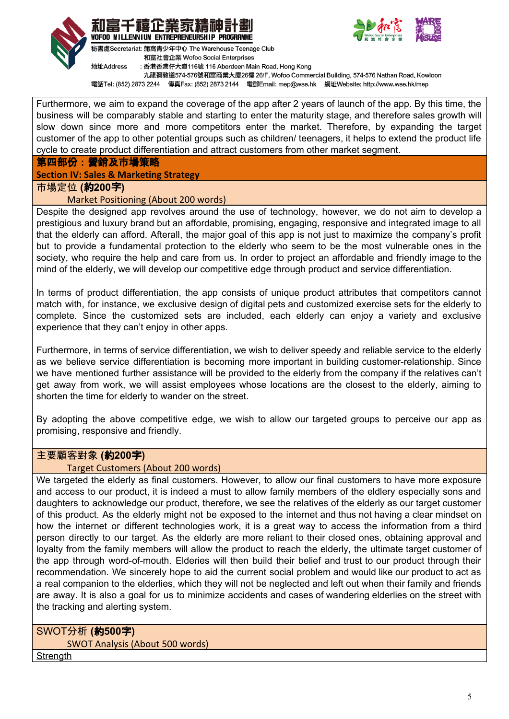





祕書處Secretariat: 蒲窩青少年中心 The Warehouse Teenage Club 和富社會企業 Wofoo Social Enterprises

: 香港香港仔大道116號 116 Aberdeen Main Road, Hong Kong

九龍彌敦道574-576號和富商業大廈26樓 26/F, Wofoo Commercial Building, 574-576 Nathan Road, Kowloon

電話Tel: (852) 2873 2244 傳真Fax: (852) 2873 2144 電郵Email: mep@wse.hk 網址Website: http://www.wse.hk/mep

Furthermore, we aim to expand the coverage of the app after 2 years of launch of the app. By this time, the business will be comparably stable and starting to enter the maturity stage, and therefore sales growth will slow down since more and more competitors enter the market. Therefore, by expanding the target customer of the app to other potential groups such as children/ teenagers, it helps to extend the product life cycle to create product differentiation and attract customers from other market segment.

#### 第四部份:營銷及市場策略

#### **Section IV: Sales & Marketing Strategy**

地址Address

#### 市場定位 **(**約**200**字**)**

#### Market Positioning (About 200 words)

Despite the designed app revolves around the use of technology, however, we do not aim to develop a prestigious and luxury brand but an affordable, promising, engaging, responsive and integrated image to all that the elderly can afford. Afterall, the major goal of this app is not just to maximize the company's profit but to provide a fundamental protection to the elderly who seem to be the most vulnerable ones in the society, who require the help and care from us. In order to project an affordable and friendly image to the mind of the elderly, we will develop our competitive edge through product and service differentiation.

In terms of product differentiation, the app consists of unique product attributes that competitors cannot match with, for instance, we exclusive design of digital pets and customized exercise sets for the elderly to complete. Since the customized sets are included, each elderly can enjoy a variety and exclusive experience that they can't enjoy in other apps.

Furthermore, in terms of service differentiation, we wish to deliver speedy and reliable service to the elderly as we believe service differentiation is becoming more important in building customer-relationship. Since we have mentioned further assistance will be provided to the elderly from the company if the relatives can't get away from work, we will assist employees whose locations are the closest to the elderly, aiming to shorten the time for elderly to wander on the street.

By adopting the above competitive edge, we wish to allow our targeted groups to perceive our app as promising, responsive and friendly.

#### 主要顧客對象 **(**約**200**字**)**

#### Target Customers (About 200 words)

We targeted the elderly as final customers. However, to allow our final customers to have more exposure and access to our product, it is indeed a must to allow family members of the eldlery especially sons and daughters to acknowledge our product, therefore, we see the relatives of the elderly as our target customer of this product. As the elderly might not be exposed to the internet and thus not having a clear mindset on how the internet or different technologies work, it is a great way to access the information from a third person directly to our target. As the elderly are more reliant to their closed ones, obtaining approval and loyalty from the family members will allow the product to reach the elderly, the ultimate target customer of the app through word-of-mouth. Elderies will then build their belief and trust to our product through their recommendation. We sincerely hope to aid the current social problem and would like our product to act as a real companion to the elderlies, which they will not be neglected and left out when their family and friends are away. It is also a goal for us to minimize accidents and cases of wandering elderlies on the street with the tracking and alerting system.

SWOT分析 **(**約**500**字**)** SWOT Analysis (About 500 words)

Strenath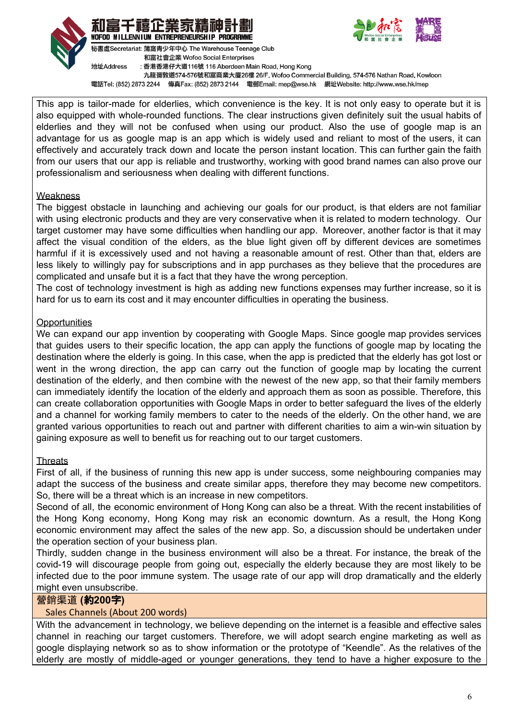



秘書處Secretariat: 蒲窩青少年中心 The Warehouse Teenage Club



和富社會企業 Wofoo Social Enterprises 地址Address : 香港香港仔大道116號 116 Aberdeen Main Road, Hong Kong 九龍彌敦道574-576號和富商業大廈26樓 26/F, Wofoo Commercial Building, 574-576 Nathan Road, Kowloon 電話Tel: (852) 2873 2244 傳真Fax: (852) 2873 2144 電郵Email: mep@wse.hk 網址Website: http://www.wse.hk/mep

This app is tailor-made for elderlies, which convenience is the key. It is not only easy to operate but it is also equipped with whole-rounded functions. The clear instructions given definitely suit the usual habits of elderlies and they will not be confused when using our product. Also the use of google map is an advantage for us as google map is an app which is widely used and reliant to most of the users, it can effectively and accurately track down and locate the person instant location. This can further gain the faith from our users that our app is reliable and trustworthy, working with good brand names can also prove our professionalism and seriousness when dealing with different functions.

#### **Weakness**

The biggest obstacle in launching and achieving our goals for our product, is that elders are not familiar with using electronic products and they are very conservative when it is related to modern technology. Our target customer may have some difficulties when handling our app. Moreover, another factor is that it may affect the visual condition of the elders, as the blue light given off by different devices are sometimes harmful if it is excessively used and not having a reasonable amount of rest. Other than that, elders are less likely to willingly pay for subscriptions and in app purchases as they believe that the procedures are complicated and unsafe but it is a fact that they have the wrong perception.

The cost of technology investment is high as adding new functions expenses may further increase, so it is hard for us to earn its cost and it may encounter difficulties in operating the business.

## **Opportunities**

We can expand our app invention by cooperating with Google Maps. Since google map provides services that guides users to their specific location, the app can apply the functions of google map by locating the destination where the elderly is going. In this case, when the app is predicted that the elderly has got lost or went in the wrong direction, the app can carry out the function of google map by locating the current destination of the elderly, and then combine with the newest of the new app, so that their family members can immediately identify the location of the elderly and approach them as soon as possible. Therefore, this can create collaboration opportunities with Google Maps in order to better safeguard the lives of the elderly and a channel for working family members to cater to the needs of the elderly. On the other hand, we are granted various opportunities to reach out and partner with different charities to aim a win-win situation by gaining exposure as well to benefit us for reaching out to our target customers.

#### **Threats**

First of all, if the business of running this new app is under success, some neighbouring companies may adapt the success of the business and create similar apps, therefore they may become new competitors. So, there will be a threat which is an increase in new competitors.

Second of all, the economic environment of Hong Kong can also be a threat. With the recent instabilities of the Hong Kong economy, Hong Kong may risk an economic downturn. As a result, the Hong Kong economic environment may affect the sales of the new app. So, a discussion should be undertaken under the operation section of your business plan.

Thirdly, sudden change in the business environment will also be a threat. For instance, the break of the covid-19 will discourage people from going out, especially the elderly because they are most likely to be infected due to the poor immune system. The usage rate of our app will drop dramatically and the elderly might even unsubscribe.

## 營銷渠道 **(**約**200**字**)**

## Sales Channels (About 200 words)

With the advancement in technology, we believe depending on the internet is a feasible and effective sales channel in reaching our target customers. Therefore, we will adopt search engine marketing as well as google displaying network so as to show information or the prototype of "Keendle". As the relatives of the elderly are mostly of middle-aged or younger generations, they tend to have a higher exposure to the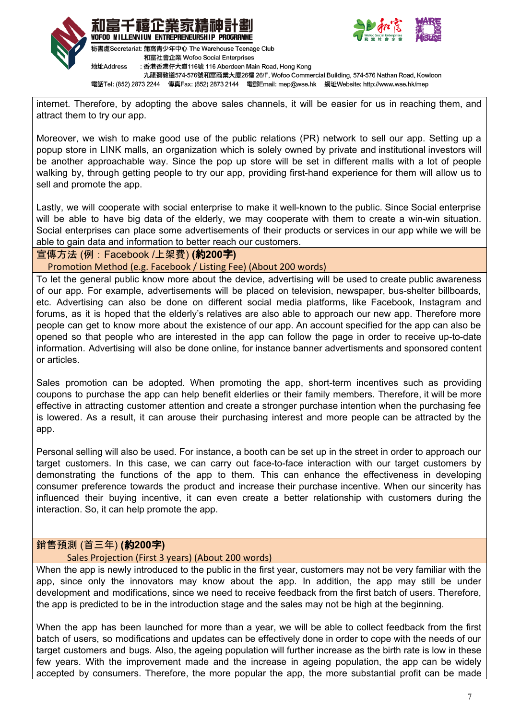



地址Address : 香港香港仔大道116號 116 Aberdeen Main Road, Hong Kong 九龍彌敦道574-576號和富商業大廈26樓 26/F, Wofoo Commercial Building, 574-576 Nathan Road, Kowloon 電話Tel: (852) 2873 2244 傳真Fax: (852) 2873 2144 電郵Email: mep@wse.hk 網址Website: http://www.wse.hk/mep

internet. Therefore, by adopting the above sales channels, it will be easier for us in reaching them, and attract them to try our app.

Moreover, we wish to make good use of the public relations (PR) network to sell our app. Setting up a popup store in LINK malls, an organization which is solely owned by private and institutional investors will be another approachable way. Since the pop up store will be set in different malls with a lot of people walking by, through getting people to try our app, providing first-hand experience for them will allow us to sell and promote the app.

Lastly, we will cooperate with social enterprise to make it well-known to the public. Since Social enterprise will be able to have big data of the elderly, we may cooperate with them to create a win-win situation. Social enterprises can place some advertisements of their products or services in our app while we will be able to gain data and information to better reach our customers.

## 宣傳方法 (例:Facebook /上架費) **(**約**200**字**)**

Promotion Method (e.g. Facebook / Listing Fee) (About 200 words)

To let the general public know more about the device, advertising will be used to create public awareness of our app. For example, advertisements will be placed on television, newspaper, bus-shelter billboards, etc. Advertising can also be done on different social media platforms, like Facebook, Instagram and forums, as it is hoped that the elderly's relatives are also able to approach our new app. Therefore more people can get to know more about the existence of our app. An account specified for the app can also be opened so that people who are interested in the app can follow the page in order to receive up-to-date information. Advertising will also be done online, for instance banner advertisments and sponsored content or articles.

Sales promotion can be adopted. When promoting the app, short-term incentives such as providing coupons to purchase the app can help benefit elderlies or their family members. Therefore, it will be more effective in attracting customer attention and create a stronger purchase intention when the purchasing fee is lowered. As a result, it can arouse their purchasing interest and more people can be attracted by the app.

Personal selling will also be used. For instance, a booth can be set up in the street in order to approach our target customers. In this case, we can carry out face-to-face interaction with our target customers by demonstrating the functions of the app to them. This can enhance the effectiveness in developing consumer preference towards the product and increase their purchase incentive. When our sincerity has influenced their buying incentive, it can even create a better relationship with customers during the interaction. So, it can help promote the app.

## 銷售預測 (首三年) **(**約**200**字**)**

## Sales Projection (First 3 years) (About 200 words)

When the app is newly introduced to the public in the first year, customers may not be very familiar with the app, since only the innovators may know about the app. In addition, the app may still be under development and modifications, since we need to receive feedback from the first batch of users. Therefore, the app is predicted to be in the introduction stage and the sales may not be high at the beginning.

When the app has been launched for more than a year, we will be able to collect feedback from the first batch of users, so modifications and updates can be effectively done in order to cope with the needs of our target customers and bugs. Also, the ageing population will further increase as the birth rate is low in these few years. With the improvement made and the increase in ageing population, the app can be widely accepted by consumers. Therefore, the more popular the app, the more substantial profit can be made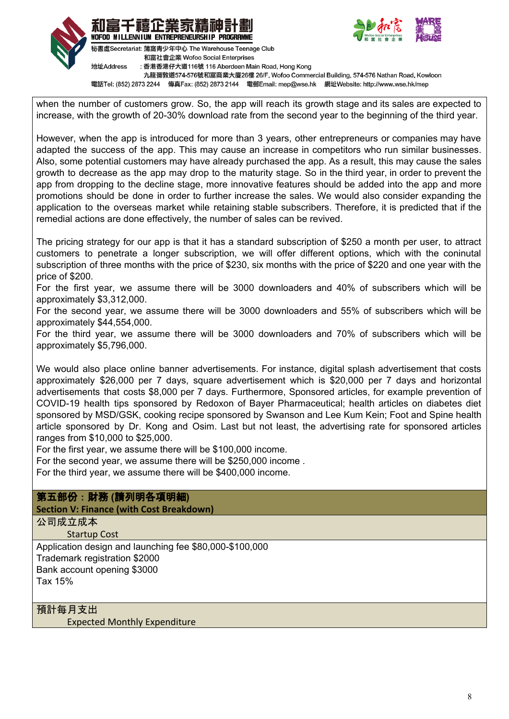



和富社會企業 Wofoo Social Enterprises : 香港香港仔大道116號 116 Aberdeen Main Road, Hong Kong

九龍彌敦道574-576號和富商業大廈26樓 26/F, Wofoo Commercial Building, 574-576 Nathan Road, Kowloon

電話Tel: (852) 2873 2244 傳真Fax: (852) 2873 2144 電郵Email: mep@wse.hk 網址Website: http://www.wse.hk/mep

when the number of customers grow. So, the app will reach its growth stage and its sales are expected to increase, with the growth of 20-30% download rate from the second year to the beginning of the third year.

However, when the app is introduced for more than 3 years, other entrepreneurs or companies may have adapted the success of the app. This may cause an increase in competitors who run similar businesses. Also, some potential customers may have already purchased the app. As a result, this may cause the sales growth to decrease as the app may drop to the maturity stage. So in the third year, in order to prevent the app from dropping to the decline stage, more innovative features should be added into the app and more promotions should be done in order to further increase the sales. We would also consider expanding the application to the overseas market while retaining stable subscribers. Therefore, it is predicted that if the remedial actions are done effectively, the number of sales can be revived.

The pricing strategy for our app is that it has a standard subscription of \$250 a month per user, to attract customers to penetrate a longer subscription, we will offer different options, which with the coninutal subscription of three months with the price of \$230, six months with the price of \$220 and one year with the price of \$200.

For the first year, we assume there will be 3000 downloaders and 40% of subscribers which will be approximately \$3,312,000.

For the second year, we assume there will be 3000 downloaders and 55% of subscribers which will be approximately \$44,554,000.

For the third year, we assume there will be 3000 downloaders and 70% of subscribers which will be approximately \$5,796,000.

We would also place online banner advertisements. For instance, digital splash advertisement that costs approximately \$26,000 per 7 days, square advertisement which is \$20,000 per 7 days and horizontal advertisements that costs \$8,000 per 7 days. Furthermore, Sponsored articles, for example prevention of COVID-19 health tips sponsored by Redoxon of Bayer Pharmaceutical; health articles on diabetes diet sponsored by MSD/GSK, cooking recipe sponsored by Swanson and Lee Kum Kein; Foot and Spine health article sponsored by Dr. Kong and Osim. Last but not least, the advertising rate for sponsored articles ranges from \$10,000 to \$25,000.

For the first year, we assume there will be \$100,000 income.

For the second year, we assume there will be \$250,000 income .

For the third year, we assume there will be \$400,000 income.

## 第五部份:財務 **(**請列明各項明細**)**

**Section V: Finance (with Cost Breakdown)**

公司成立成本

Startup Cost

Application design and launching fee \$80,000-\$100,000 Trademark registration \$2000 Bank account opening \$3000 Tax 15%

預計每月支出

Expected Monthly Expenditure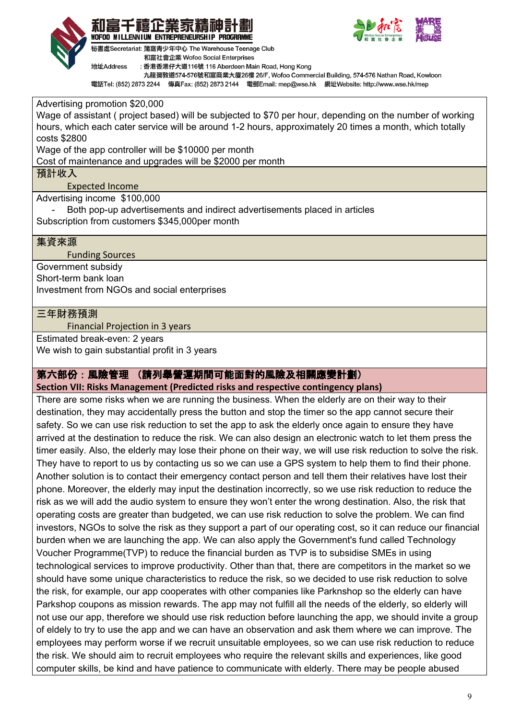





秘書處Secretariat: 蒲窩青少年中心 The Warehouse Teenage Club 和富社會企業 Wofoo Social Enterprises

地址Address : 香港香港仔大道116號 116 Aberdeen Main Road, Hong Kong

九龍彌敦道574-576號和富商業大廈26樓 26/F, Wofoo Commercial Building, 574-576 Nathan Road, Kowloon

電話Tel: (852) 2873 2244 傳真Fax: (852) 2873 2144 電郵Email: mep@wse.hk 網址Website: http://www.wse.hk/mep

Advertising promotion \$20,000

Wage of assistant ( project based) will be subjected to \$70 per hour, depending on the number of working hours, which each cater service will be around 1-2 hours, approximately 20 times a month, which totally costs \$2800

Wage of the app controller will be \$10000 per month

Cost of maintenance and upgrades will be \$2000 per month

預計收入

Expected Income

Advertising income \$100,000

Both pop-up advertisements and indirect advertisements placed in articles Subscription from customers \$345,000per month

## 集資來源

Funding Sources

Government subsidy Short-term bank loan Investment from NGOs and social enterprises

## 三年財務預測

Financial Projection in 3 years

Estimated break-even: 2 years

We wish to gain substantial profit in 3 years

## 第六部份:風險管理 (請列舉營運期間可能面對的風險及相關應變計劃)

**Section VII: Risks Management (Predicted risks and respective contingency plans)**

There are some risks when we are running the business. When the elderly are on their way to their destination, they may accidentally press the button and stop the timer so the app cannot secure their safety. So we can use risk reduction to set the app to ask the elderly once again to ensure they have arrived at the destination to reduce the risk. We can also design an electronic watch to let them press the timer easily. Also, the elderly may lose their phone on their way, we will use risk reduction to solve the risk. They have to report to us by contacting us so we can use a GPS system to help them to find their phone. Another solution is to contact their emergency contact person and tell them their relatives have lost their phone. Moreover, the elderly may input the destination incorrectly, so we use risk reduction to reduce the risk as we will add the audio system to ensure they won't enter the wrong destination. Also, the risk that operating costs are greater than budgeted, we can use risk reduction to solve the problem. We can find investors, NGOs to solve the risk as they support a part of our operating cost, so it can reduce our financial burden when we are launching the app. We can also apply the Government's fund called Technology Voucher Programme(TVP) to reduce the financial burden as TVP is to subsidise SMEs in using technological services to improve productivity. Other than that, there are competitors in the market so we should have some unique characteristics to reduce the risk, so we decided to use risk reduction to solve the risk, for example, our app cooperates with other companies like Parknshop so the elderly can have Parkshop coupons as mission rewards. The app may not fulfill all the needs of the elderly, so elderly will not use our app, therefore we should use risk reduction before launching the app, we should invite a group of eldely to try to use the app and we can have an observation and ask them where we can improve. The employees may perform worse if we recruit unsuitable employees, so we can use risk reduction to reduce the risk. We should aim to recruit employees who require the relevant skills and experiences, like good computer skills, be kind and have patience to communicate with elderly. There may be people abused